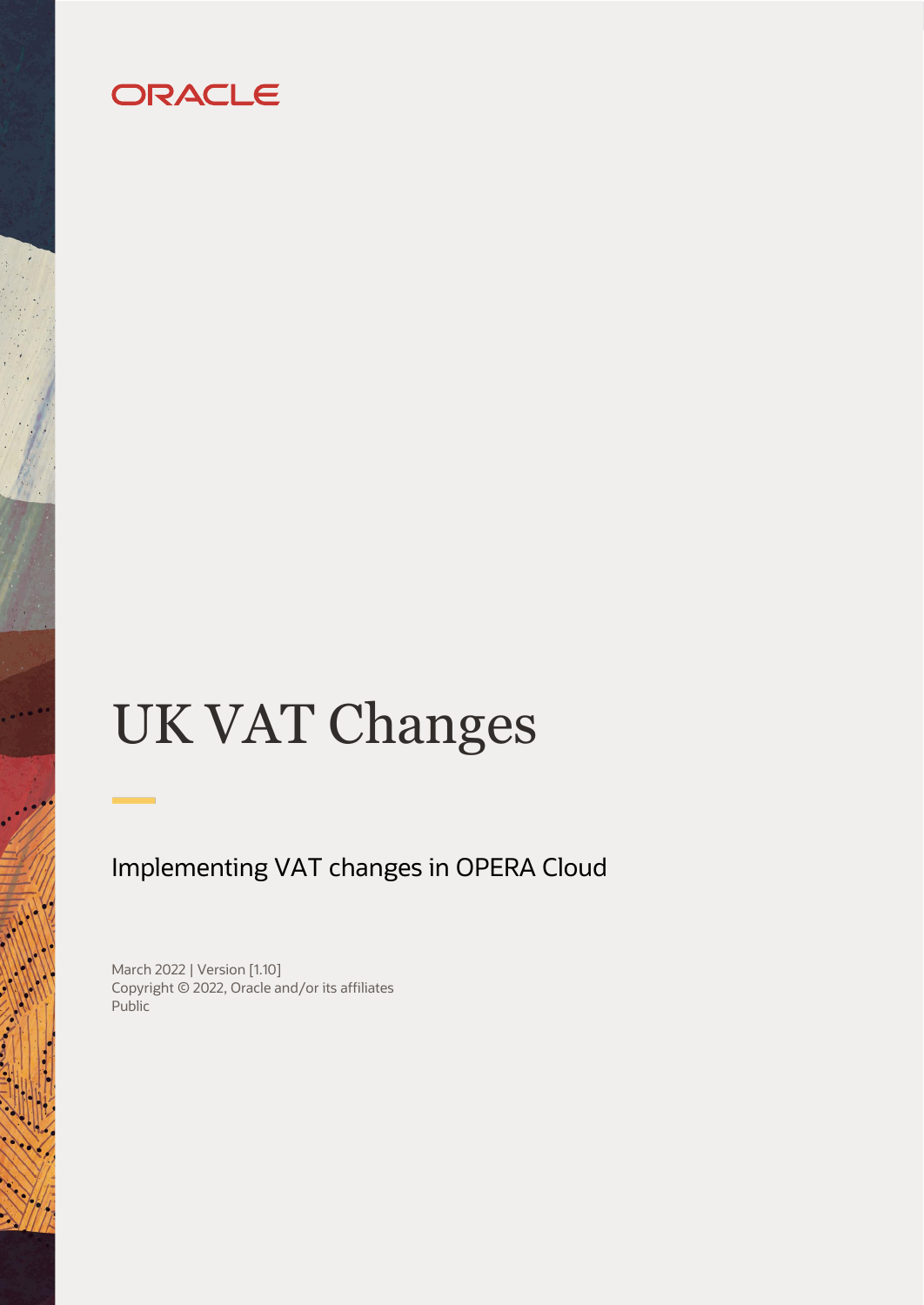# ORACLE

# UK VAT Changes

# Implementing VAT changes in OPERA Cloud

March 2022 | Version [1.10] Copyright © 2022, Oracle and/or its affiliates Public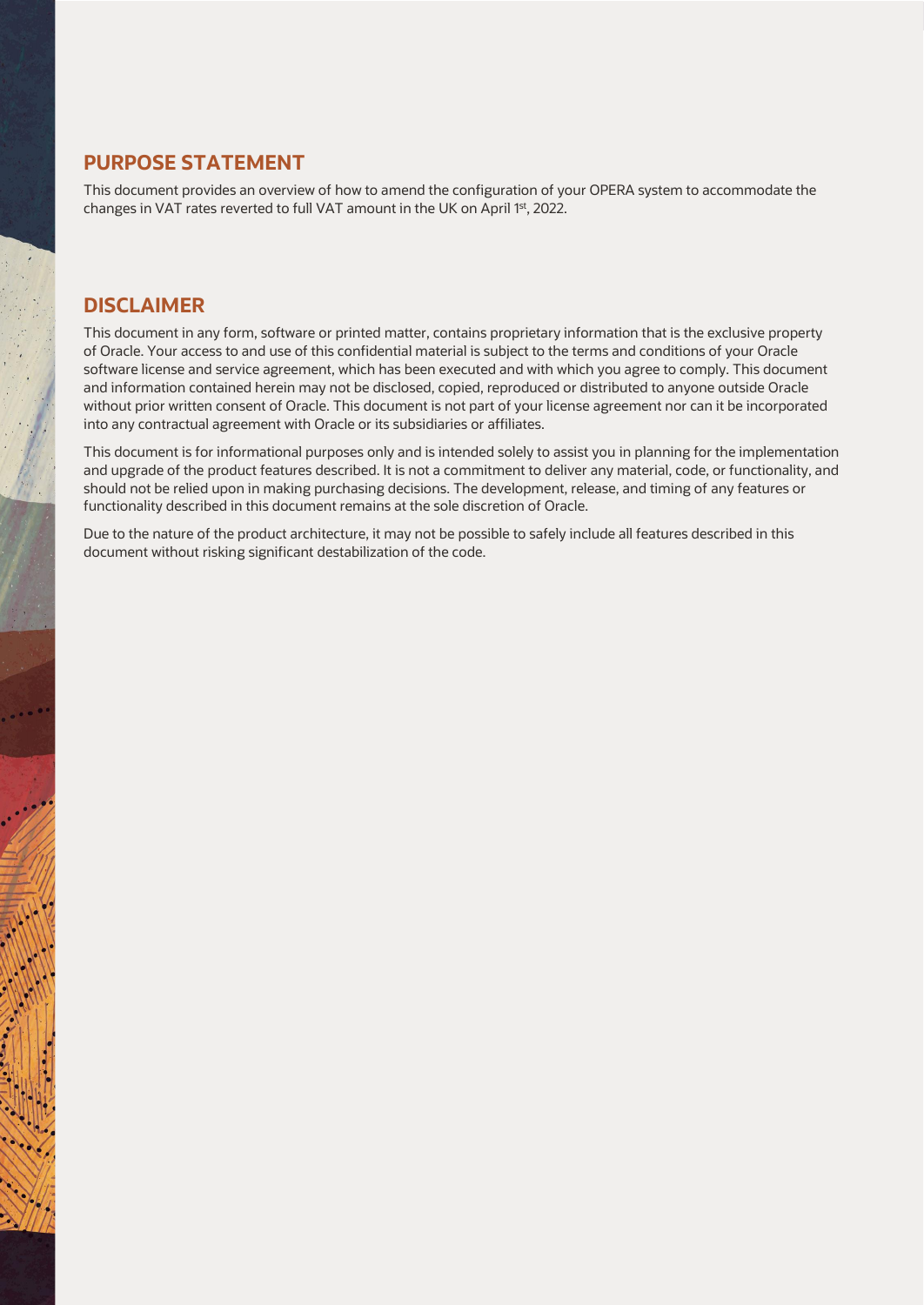# <span id="page-1-0"></span>**PURPOSE STATEMENT**

This document provides an overview of how to amend the configuration of your OPERA system to accommodate the changes in VAT rates reverted to full VAT amount in the UK on April 1<sup>st</sup>, 2022.

### <span id="page-1-1"></span>**DISCLAIMER**

This document in any form, software or printed matter, contains proprietary information that is the exclusive property of Oracle. Your access to and use of this confidential material is subject to the terms and conditions of your Oracle software license and service agreement, which has been executed and with which you agree to comply. This document and information contained herein may not be disclosed, copied, reproduced or distributed to anyone outside Oracle without prior written consent of Oracle. This document is not part of your license agreement nor can it be incorporated into any contractual agreement with Oracle or its subsidiaries or affiliates.

This document is for informational purposes only and is intended solely to assist you in planning for the implementation and upgrade of the product features described. It is not a commitment to deliver any material, code, or functionality, and should not be relied upon in making purchasing decisions. The development, release, and timing of any features or functionality described in this document remains at the sole discretion of Oracle.

Due to the nature of the product architecture, it may not be possible to safely include all features described in this document without risking significant destabilization of the code.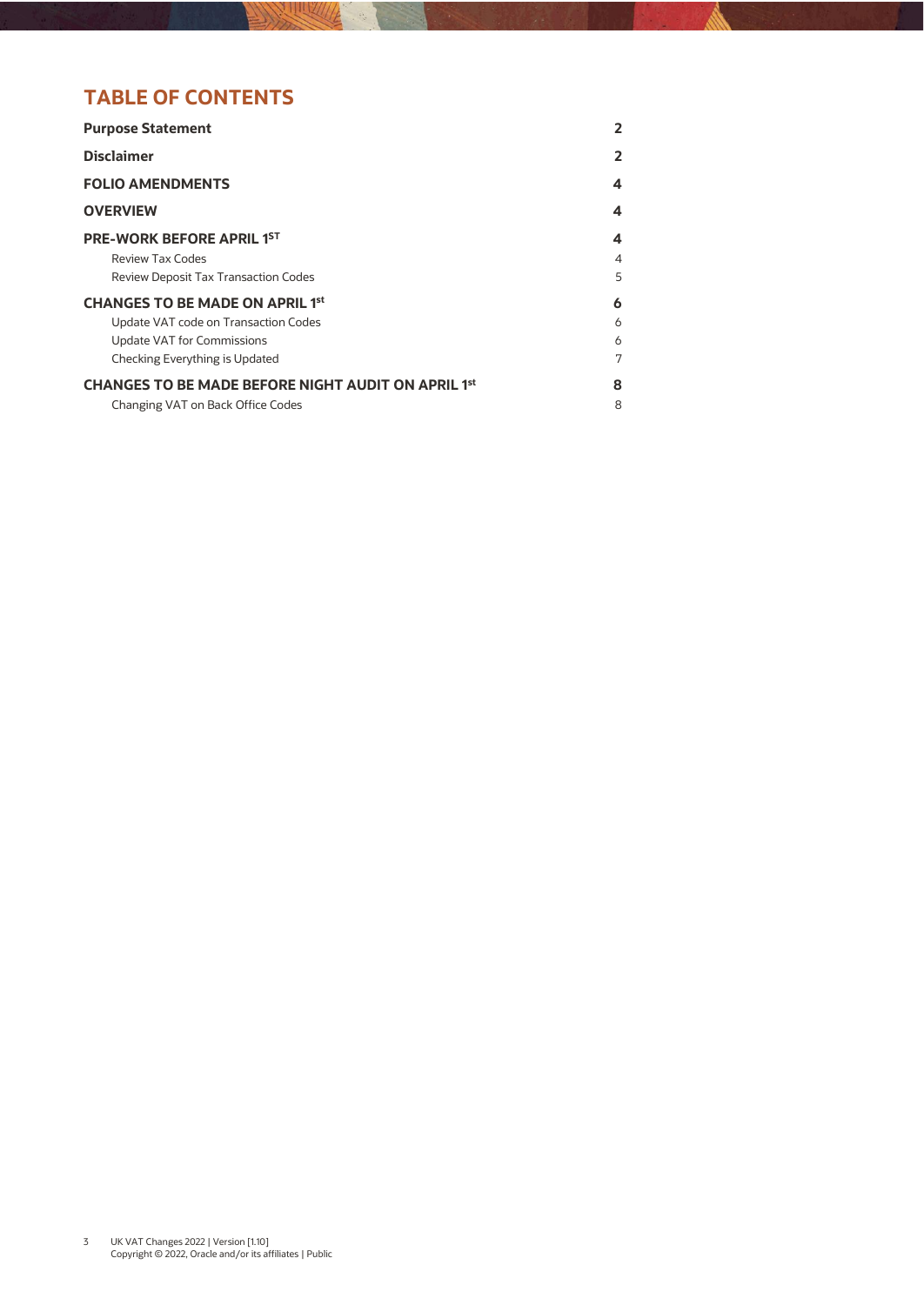# **TABLE OF CONTENTS**

| <b>Purpose Statement</b>                                                                                                                       | 2                |
|------------------------------------------------------------------------------------------------------------------------------------------------|------------------|
| <b>Disclaimer</b>                                                                                                                              | 2                |
| <b>FOLIO AMENDMENTS</b>                                                                                                                        | 4                |
| <b>OVERVIEW</b>                                                                                                                                | 4                |
| <b>PRE-WORK BEFORE APRIL 1ST</b><br>Review Tax Codes<br><b>Review Deposit Tax Transaction Codes</b>                                            | 4<br>4<br>5      |
| <b>CHANGES TO BE MADE ON APRIL 1st</b><br>Update VAT code on Transaction Codes<br>Update VAT for Commissions<br>Checking Everything is Updated | 6<br>6<br>6<br>7 |
| <b>CHANGES TO BE MADE BEFORE NIGHT AUDIT ON APRIL 1st</b><br>Changing VAT on Back Office Codes                                                 | 8<br>8           |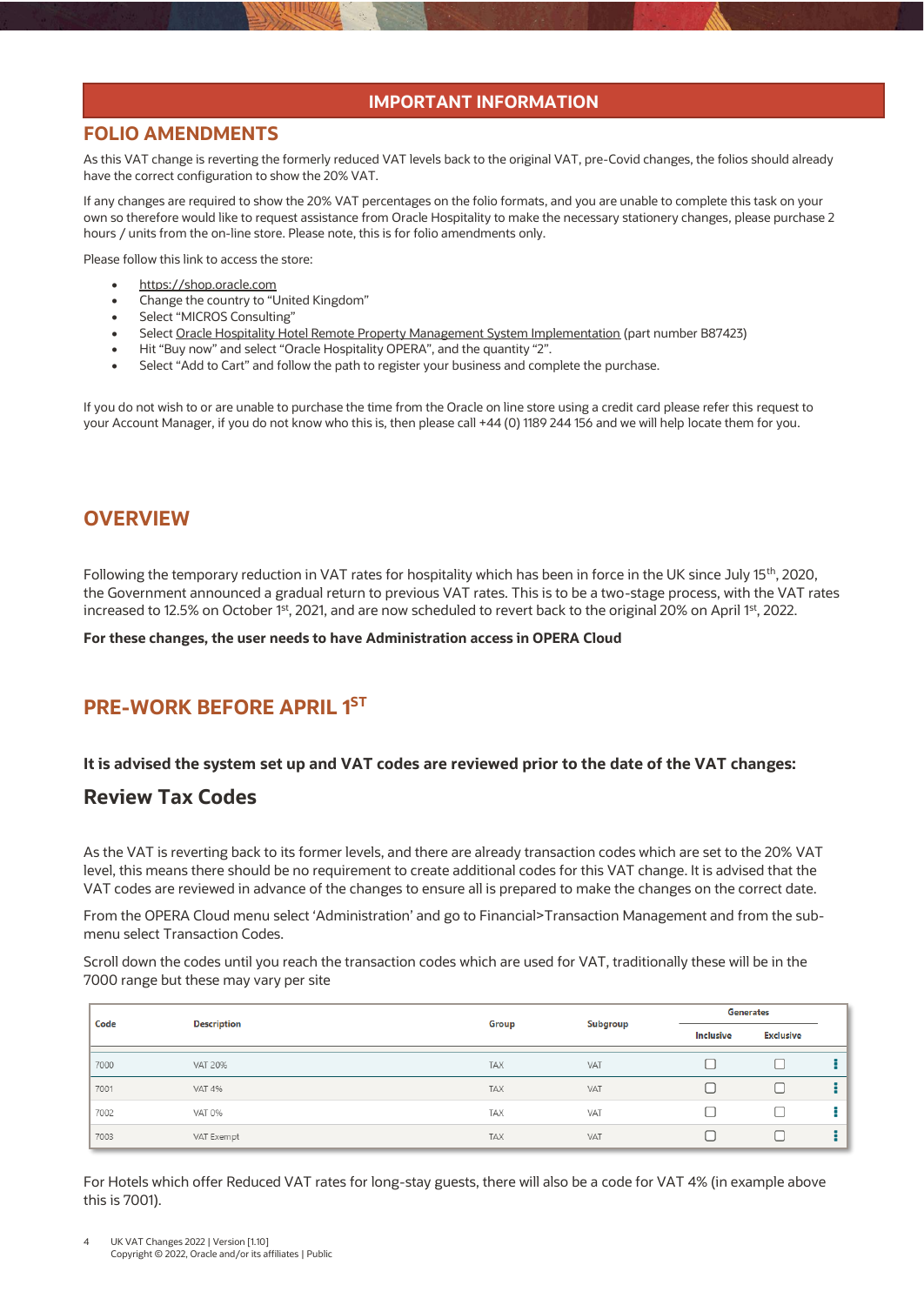#### **IMPORTANT INFORMATION**

#### <span id="page-3-0"></span>**FOLIO AMENDMENTS**

As this VAT change is reverting the formerly reduced VAT levels back to the original VAT, pre-Covid changes, the folios should already have the correct configuration to show the 20% VAT.

If any changes are required to show the 20% VAT percentages on the folio formats, and you are unable to complete this task on your own so therefore would like to request assistance from Oracle Hospitality to make the necessary stationery changes, please purchase 2 hours / units from the on-line store. Please note, this is for folio amendments only.

Please follow this link to access the store:

- [https://shop.oracle.com](https://shop.oracle.com/)
- Change the country to "United Kingdom"
- Select "MICROS Consulting"
- Selec[t Oracle Hospitality Hotel Remote Property Management System Implementation](https://shop.oracle.com/apex/f?p=DSTORE:PRODUCT:::NO:RP,6:P6_LPI,P6_PROD_HIER_ID:128053756104980474850401,128016537132070991130337) (part number B87423)
- Hit "Buy now" and select "Oracle Hospitality OPERA", and the quantity "2".
- Select "Add to Cart" and follow the path to register your business and complete the purchase.

If you do not wish to or are unable to purchase the time from the Oracle on line store using a credit card please refer this request to your Account Manager, if you do not know who this is, then please call +44 (0) 1189 244 156 and we will help locate them for you.

## <span id="page-3-1"></span>**OVERVIEW**

Following the temporary reduction in VAT rates for hospitality which has been in force in the UK since July 15<sup>th</sup>, 2020, the Government announced a gradual return to previous VAT rates. This is to be a two-stage process, with the VAT rates increased to 12.5% on October 1st, 2021, and are now scheduled to revert back to the original 20% on April 1st, 2022.

**For these changes, the user needs to have Administration access in OPERA Cloud**

# <span id="page-3-2"></span>**PRE-WORK BEFORE APRIL 1 ST**

#### <span id="page-3-3"></span>**It is advised the system set up and VAT codes are reviewed prior to the date of the VAT changes:**

#### **Review Tax Codes**

As the VAT is reverting back to its former levels, and there are already transaction codes which are set to the 20% VAT level, this means there should be no requirement to create additional codes for this VAT change. It is advised that the VAT codes are reviewed in advance of the changes to ensure all is prepared to make the changes on the correct date.

From the OPERA Cloud menu select 'Administration' and go to Financial>Transaction Management and from the submenu select Transaction Codes.

Scroll down the codes until you reach the transaction codes which are used for VAT, traditionally these will be in the 7000 range but these may vary per site

| Code | <b>Description</b> | <b>Generates</b><br>Subgroup<br>Group |     |           |                  |  |
|------|--------------------|---------------------------------------|-----|-----------|------------------|--|
|      |                    |                                       |     | Inclusive | <b>Exclusive</b> |  |
| 7000 | <b>VAT 20%</b>     | <b>TAX</b>                            | VAT |           |                  |  |
| 7001 | <b>VAT 4%</b>      | <b>TAX</b>                            | VAT |           |                  |  |
| 7002 | <b>VAT 0%</b>      | <b>TAX</b>                            | VAT |           |                  |  |
| 7003 | VAT Exempt         | <b>TAX</b>                            | VAT |           |                  |  |

For Hotels which offer Reduced VAT rates for long-stay guests, there will also be a code for VAT 4% (in example above this is 7001).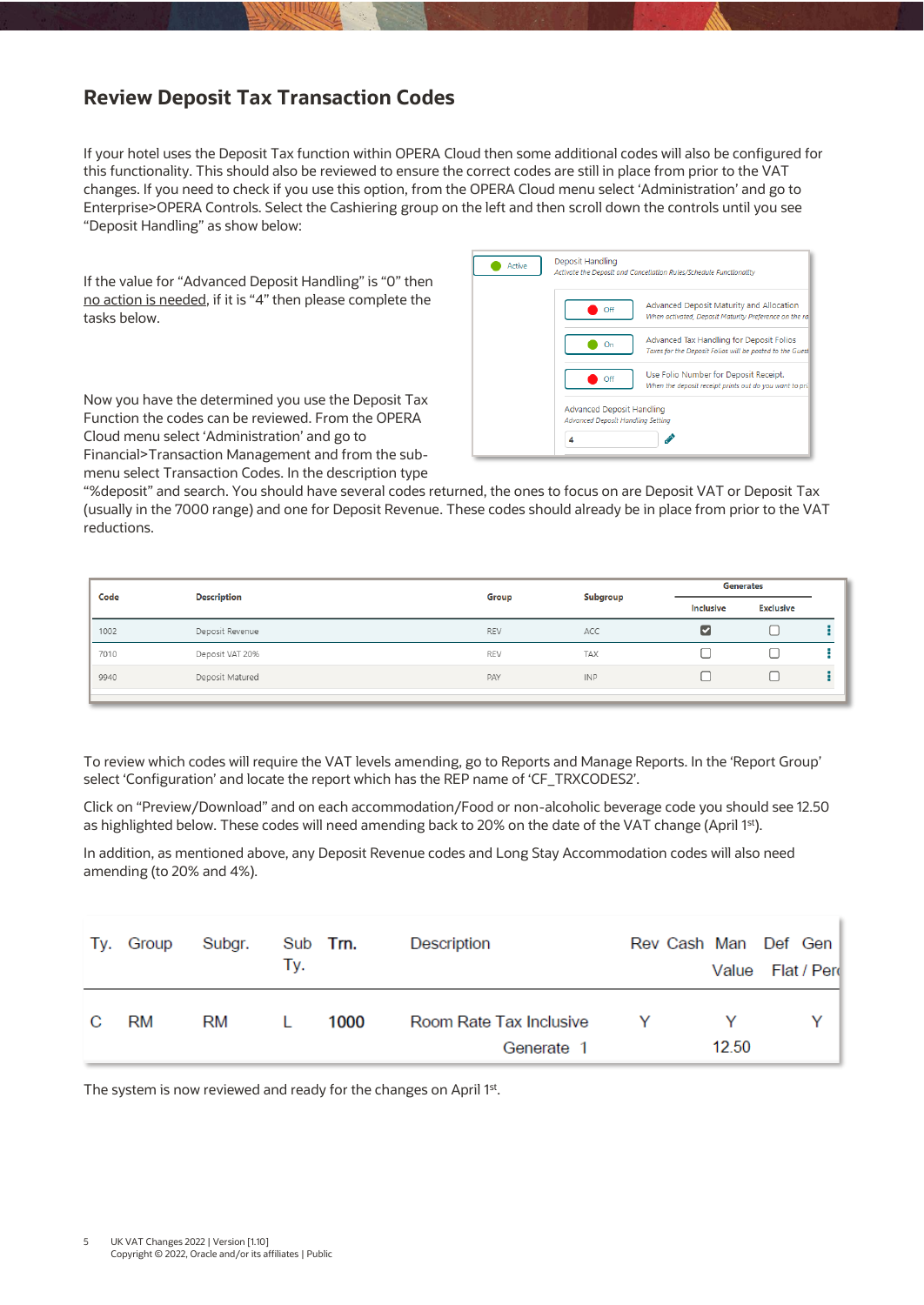# <span id="page-4-0"></span>**Review Deposit Tax Transaction Codes**

If your hotel uses the Deposit Tax function within OPERA Cloud then some additional codes will also be configured for this functionality. This should also be reviewed to ensure the correct codes are still in place from prior to the VAT changes. If you need to check if you use this option, from the OPERA Cloud menu select 'Administration' and go to Enterprise>OPERA Controls. Select the Cashiering group on the left and then scroll down the controls until you see "Deposit Handling" as show below:

If the value for "Advanced Deposit Handling" is "0" then no action is needed, if it is "4" then please complete the tasks below.

Now you have the determined you use the Deposit Tax Function the codes can be reviewed. From the OPERA Cloud menu select 'Administration' and go to Financial>Transaction Management and from the submenu select Transaction Codes. In the description type



"%deposit" and search. You should have several codes returned, the ones to focus on are Deposit VAT or Deposit Tax (usually in the 7000 range) and one for Deposit Revenue. These codes should already be in place from prior to the VAT reductions.

| Code | <b>Description</b> | <b>Generates</b><br>Subgroup<br>Group |            |           |                  |  |
|------|--------------------|---------------------------------------|------------|-----------|------------------|--|
|      |                    |                                       |            | Inclusive | <b>Exclusive</b> |  |
| 1002 | Deposit Revenue    | <b>REV</b>                            | ACC        | ☑         |                  |  |
| 7010 | Deposit VAT 20%    | <b>REV</b>                            | TAX        |           |                  |  |
| 9940 | Deposit Matured    | PAY                                   | <b>INP</b> |           |                  |  |
|      |                    |                                       |            |           |                  |  |

To review which codes will require the VAT levels amending, go to Reports and Manage Reports. In the 'Report Group' select 'Configuration' and locate the report which has the REP name of 'CF\_TRXCODES2'.

Click on "Preview/Download" and on each accommodation/Food or non-alcoholic beverage code you should see 12.50 as highlighted below. These codes will need amending back to 20% on the date of the VAT change (April 1st).

In addition, as mentioned above, any Deposit Revenue codes and Long Stay Accommodation codes will also need amending (to 20% and 4%).

|     | Ty. Group | Subgr. | Tv.          | Sub Trn. | Description                           | Rev Cash Man Def Gen | Value Flat / Perd |  |
|-----|-----------|--------|--------------|----------|---------------------------------------|----------------------|-------------------|--|
| - C | RM        | RM     | $\mathbf{L}$ | 1000     | Room Rate Tax Inclusive<br>Generate 1 | Y                    | 12.50             |  |

The system is now reviewed and ready for the changes on April 1<sup>st</sup>.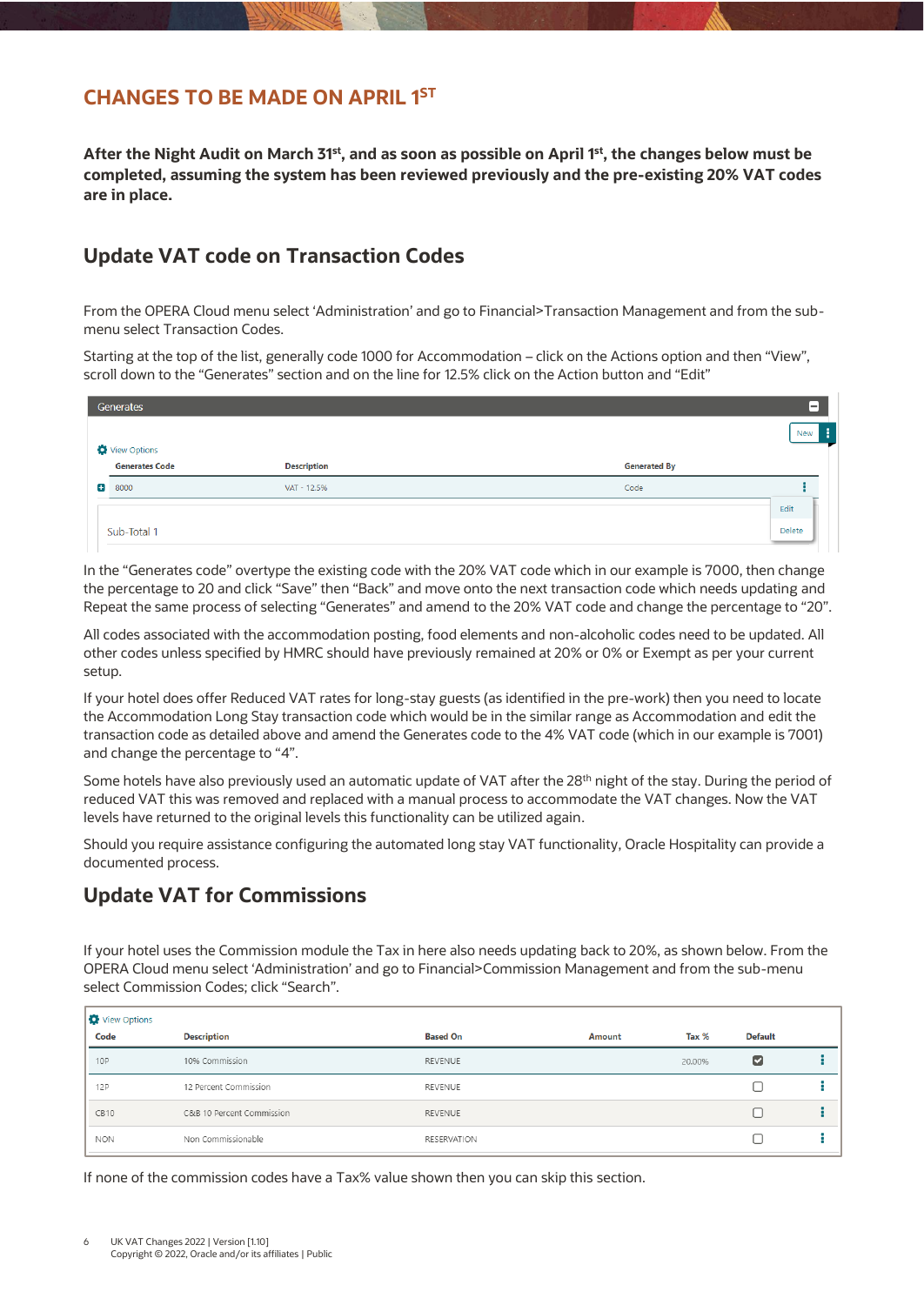# <span id="page-5-0"></span>**CHANGES TO BE MADE ON APRIL 1 ST**

**After the Night Audit on March 31st , and as soon as possible on April 1 st , the changes below must be completed, assuming the system has been reviewed previously and the pre-existing 20% VAT codes are in place.**

# <span id="page-5-1"></span>**Update VAT code on Transaction Codes**

From the OPERA Cloud menu select 'Administration' and go to Financial>Transaction Management and from the submenu select Transaction Codes.

Starting at the top of the list, generally code 1000 for Accommodation – click on the Actions option and then "View", scroll down to the "Generates" section and on the line for 12.5% click on the Action button and "Edit"

|   | Generates                      |                    |                     | l-l          |
|---|--------------------------------|--------------------|---------------------|--------------|
|   |                                |                    |                     | New <b>E</b> |
|   | View Options<br>Generates Code | <b>Description</b> | <b>Generated By</b> |              |
| о | 8000                           | VAT - 12.5%        | Code                |              |
|   |                                |                    |                     | Edit         |
|   | Sub-Total 1                    |                    |                     | Delete       |

In the "Generates code" overtype the existing code with the 20% VAT code which in our example is 7000, then change the percentage to 20 and click "Save" then "Back" and move onto the next transaction code which needs updating and Repeat the same process of selecting "Generates" and amend to the 20% VAT code and change the percentage to "20".

All codes associated with the accommodation posting, food elements and non-alcoholic codes need to be updated. All other codes unless specified by HMRC should have previously remained at 20% or 0% or Exempt as per your current setup.

If your hotel does offer Reduced VAT rates for long-stay guests (as identified in the pre-work) then you need to locate the Accommodation Long Stay transaction code which would be in the similar range as Accommodation and edit the transaction code as detailed above and amend the Generates code to the 4% VAT code (which in our example is 7001) and change the percentage to "4".

Some hotels have also previously used an automatic update of VAT after the 28<sup>th</sup> night of the stay. During the period of reduced VAT this was removed and replaced with a manual process to accommodate the VAT changes. Now the VAT levels have returned to the original levels this functionality can be utilized again.

Should you require assistance configuring the automated long stay VAT functionality, Oracle Hospitality can provide a documented process.

# <span id="page-5-2"></span>**Update VAT for Commissions**

If your hotel uses the Commission module the Tax in here also needs updating back to 20%, as shown below. From the OPERA Cloud menu select 'Administration' and go to Financial>Commission Management and from the sub-menu select Commission Codes; click "Search".

|     | View Options     |                           |                    |        |        |                |  |
|-----|------------------|---------------------------|--------------------|--------|--------|----------------|--|
|     | Code             | <b>Description</b>        | <b>Based On</b>    | Amount | Tax %  | <b>Default</b> |  |
| 10P |                  | 10% Commission            | REVENUE            |        | 20.00% | ⊵              |  |
| 12P |                  | 12 Percent Commission     | REVENUE            |        |        |                |  |
|     | CB <sub>10</sub> | C&B 10 Percent Commission | REVENUE            |        |        |                |  |
|     | <b>NON</b>       | Non Commissionable        | <b>RESERVATION</b> |        |        |                |  |

If none of the commission codes have a Tax% value shown then you can skip this section.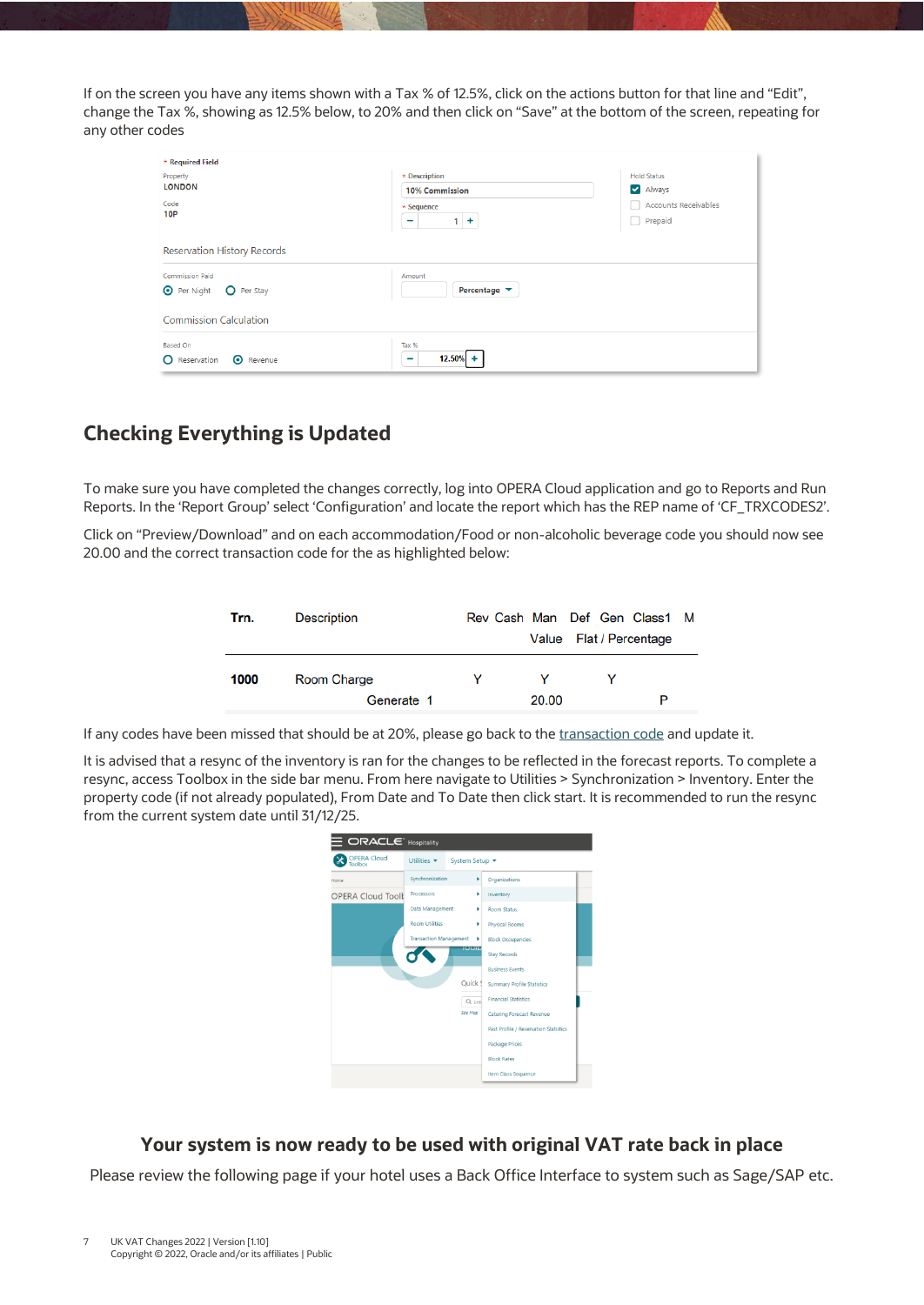If on the screen you have any items shown with a Tax % of 12.5%, click on the actions button for that line and "Edit", change the Tax %, showing as 12.5% below, to 20% and then click on "Save" at the bottom of the screen, repeating for any other codes

| * Required Field                         |                                         |                      |
|------------------------------------------|-----------------------------------------|----------------------|
| Property                                 | * Description                           | <b>Hold Status</b>   |
| <b>LONDON</b>                            | <b>10% Commission</b>                   | Always               |
| Code                                     | $\star$ Sequence                        | Accounts Receivables |
| <b>10P</b>                               | $1 +$<br>-                              | Prepaid              |
| <b>Reservation History Records</b>       |                                         |                      |
| <b>Commission Paid</b>                   | Amount                                  |                      |
| <b>O</b> Per Night<br>O Per Stay         | Percentage $\blacktriangledown$         |                      |
| Commission Calculation                   |                                         |                      |
| <b>Based On</b>                          | Tax %                                   |                      |
| <b>O</b> Revenue<br><b>O</b> Reservation | $12.50\% +$<br>$\overline{\phantom{0}}$ |                      |
|                                          |                                         |                      |

# <span id="page-6-0"></span>**Checking Everything is Updated**

To make sure you have completed the changes correctly, log into OPERA Cloud application and go to Reports and Run Reports. In the 'Report Group' select 'Configuration' and locate the report which has the REP name of 'CF\_TRXCODES2'.

Click on "Preview/Download" and on each accommodation/Food or non-alcoholic beverage code you should now see 20.00 and the correct transaction code for the as highlighted below:

| Trn. | <b>Description</b> |   |       | Rev Cash Man Def Gen Class1 M |  |
|------|--------------------|---|-------|-------------------------------|--|
|      |                    |   |       | Value Flat / Percentage       |  |
| 1000 | Room Charge        | v |       |                               |  |
|      | Generate 1         |   | 20.00 | P                             |  |

If any codes have been missed that should be at 20%, please go back to th[e transaction code](#page-5-1) and update it.

It is advised that a resync of the inventory is ran for the changes to be reflected in the forecast reports. To complete a resync, access Toolbox in the side bar menu. From here navigate to Utilities > Synchronization > Inventory. Enter the property code (if not already populated), From Date and To Date then click start. It is recommended to run the resync from the current system date until 31/12/25.



## **Your system is now ready to be used with original VAT rate back in place**

Please review the following page if your hotel uses a Back Office Interface to system such as Sage/SAP etc.